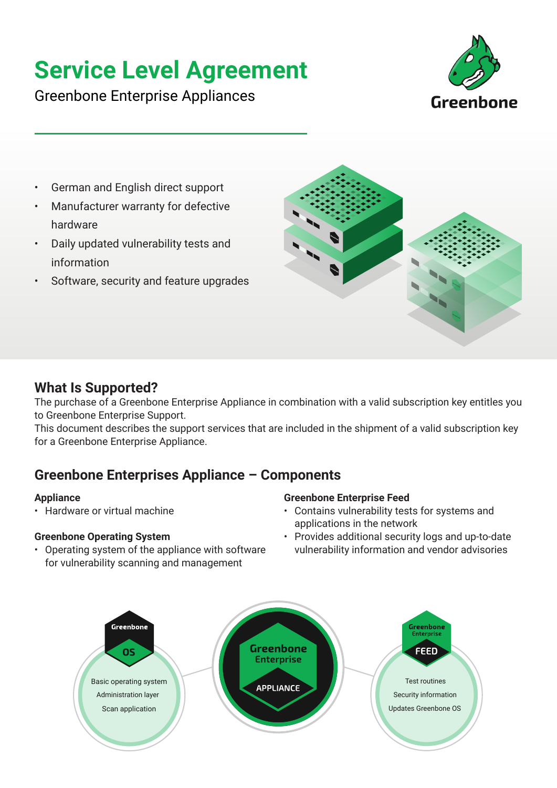# **Service Level Agreement**

Greenbone Enterprise Appliances



- German and English direct support
- Manufacturer warranty for defective hardware
- Daily updated vulnerability tests and information
- Software, security and feature upgrades



### **What Is Supported?**

The purchase of a Greenbone Enterprise Appliance in combination with a valid subscription key entitles you to Greenbone Enterprise Support.

This document describes the support services that are included in the shipment of a valid subscription key for a Greenbone Enterprise Appliance.

## **Greenbone Enterprises Appliance – Components**

#### **Appliance**

• Hardware or virtual machine

#### **Greenbone Operating System**

• Operating system of the appliance with software for vulnerability scanning and management

#### **Greenbone Enterprise Feed**

- Contains vulnerability tests for systems and applications in the network
- Provides additional security logs and up-to-date vulnerability information and vendor advisories